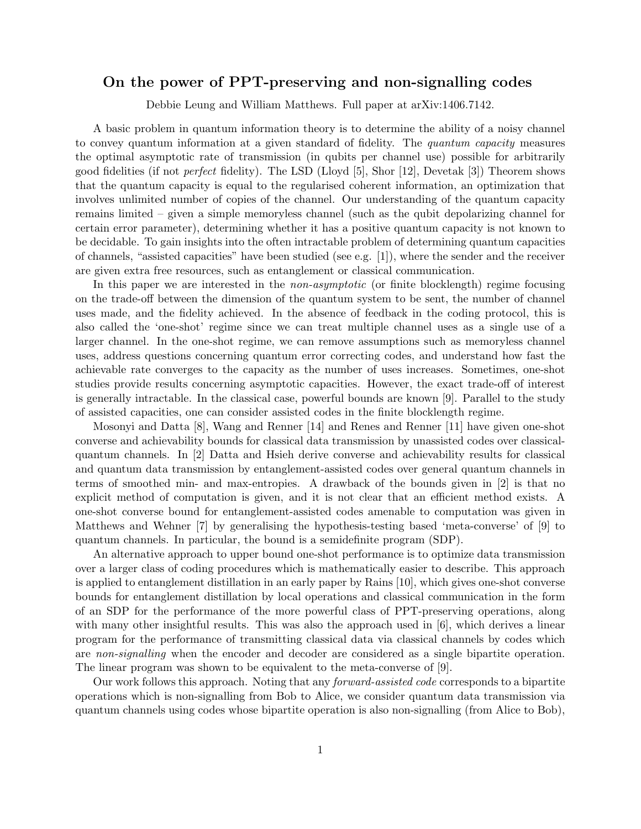## On the power of PPT-preserving and non-signalling codes

Debbie Leung and William Matthews. Full paper at arXiv:1406.7142.

A basic problem in quantum information theory is to determine the ability of a noisy channel to convey quantum information at a given standard of fidelity. The quantum capacity measures the optimal asymptotic rate of transmission (in qubits per channel use) possible for arbitrarily good fidelities (if not perfect fidelity). The LSD (Lloyd [5], Shor [12], Devetak [3]) Theorem shows that the quantum capacity is equal to the regularised coherent information, an optimization that involves unlimited number of copies of the channel. Our understanding of the quantum capacity remains limited – given a simple memoryless channel (such as the qubit depolarizing channel for certain error parameter), determining whether it has a positive quantum capacity is not known to be decidable. To gain insights into the often intractable problem of determining quantum capacities of channels, "assisted capacities" have been studied (see e.g. [1]), where the sender and the receiver are given extra free resources, such as entanglement or classical communication.

In this paper we are interested in the *non-asymptotic* (or finite blocklength) regime focusing on the trade-off between the dimension of the quantum system to be sent, the number of channel uses made, and the fidelity achieved. In the absence of feedback in the coding protocol, this is also called the 'one-shot' regime since we can treat multiple channel uses as a single use of a larger channel. In the one-shot regime, we can remove assumptions such as memoryless channel uses, address questions concerning quantum error correcting codes, and understand how fast the achievable rate converges to the capacity as the number of uses increases. Sometimes, one-shot studies provide results concerning asymptotic capacities. However, the exact trade-off of interest is generally intractable. In the classical case, powerful bounds are known [9]. Parallel to the study of assisted capacities, one can consider assisted codes in the finite blocklength regime.

Mosonyi and Datta [8], Wang and Renner [14] and Renes and Renner [11] have given one-shot converse and achievability bounds for classical data transmission by unassisted codes over classicalquantum channels. In [2] Datta and Hsieh derive converse and achievability results for classical and quantum data transmission by entanglement-assisted codes over general quantum channels in terms of smoothed min- and max-entropies. A drawback of the bounds given in [2] is that no explicit method of computation is given, and it is not clear that an efficient method exists. A one-shot converse bound for entanglement-assisted codes amenable to computation was given in Matthews and Wehner [7] by generalising the hypothesis-testing based 'meta-converse' of [9] to quantum channels. In particular, the bound is a semidefinite program (SDP).

An alternative approach to upper bound one-shot performance is to optimize data transmission over a larger class of coding procedures which is mathematically easier to describe. This approach is applied to entanglement distillation in an early paper by Rains [10], which gives one-shot converse bounds for entanglement distillation by local operations and classical communication in the form of an SDP for the performance of the more powerful class of PPT-preserving operations, along with many other insightful results. This was also the approach used in [6], which derives a linear program for the performance of transmitting classical data via classical channels by codes which are non-signalling when the encoder and decoder are considered as a single bipartite operation. The linear program was shown to be equivalent to the meta-converse of [9].

Our work follows this approach. Noting that any forward-assisted code corresponds to a bipartite operations which is non-signalling from Bob to Alice, we consider quantum data transmission via quantum channels using codes whose bipartite operation is also non-signalling (from Alice to Bob),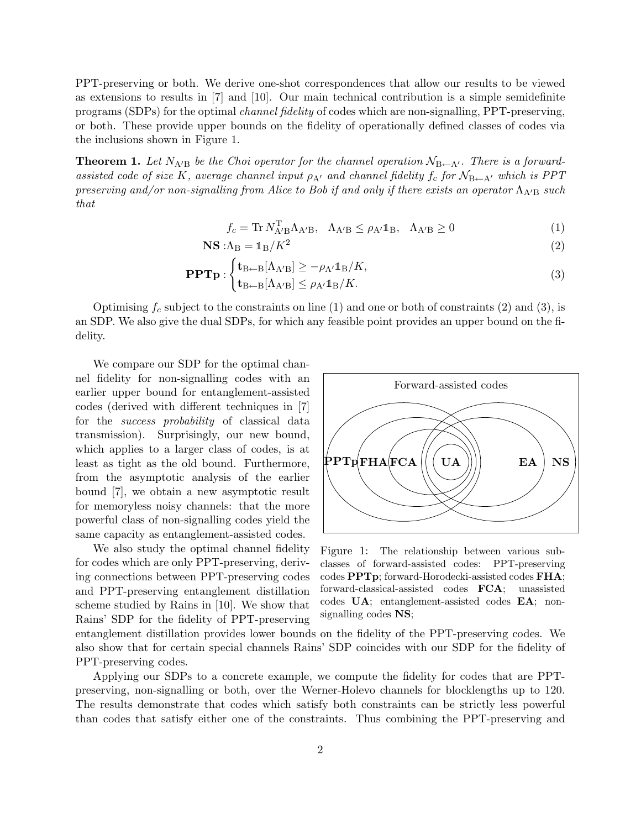PPT-preserving or both. We derive one-shot correspondences that allow our results to be viewed as extensions to results in [7] and [10]. Our main technical contribution is a simple semidefinite programs (SDPs) for the optimal channel fidelity of codes which are non-signalling, PPT-preserving, or both. These provide upper bounds on the fidelity of operationally defined classes of codes via the inclusions shown in Figure 1.

**Theorem 1.** Let  $N_{A'B}$  be the Choi operator for the channel operation  $N_{B\leftarrow A'}$ . There is a forwardassisted code of size K, average channel input  $\rho_{A'}$  and channel fidelity  $f_c$  for  $N_{\rm B\leftarrow A'}$  which is PPT preserving and/or non-signalling from Alice to Bob if and only if there exists an operator  $\Lambda_{A/B}$  such that

$$
f_c = \text{Tr} \, N_{A'B}^T \Lambda_{A'B}, \quad \Lambda_{A'B} \le \rho_{A'} \mathbb{1}_B, \quad \Lambda_{A'B} \ge 0 \tag{1}
$$

$$
\mathbf{NS} : \Lambda_{\mathbf{B}} = \mathbb{1}_{\mathbf{B}} / K^2
$$
 (2)

$$
\mathbf{PPTp}: \begin{cases} \mathbf{t}_{\mathrm{B}\leftarrow\mathrm{B}}[\Lambda_{\mathrm{A}^{\prime}\mathrm{B}}] \ge -\rho_{\mathrm{A}^{\prime}}\mathbb{1}_{\mathrm{B}}/K, \\ \mathbf{t}_{\mathrm{B}\leftarrow\mathrm{B}}[\Lambda_{\mathrm{A}^{\prime}\mathrm{B}}] \le \rho_{\mathrm{A}^{\prime}}\mathbb{1}_{\mathrm{B}}/K. \end{cases} \tag{3}
$$

Optimising  $f_c$  subject to the constraints on line (1) and one or both of constraints (2) and (3), is an SDP. We also give the dual SDPs, for which any feasible point provides an upper bound on the fidelity.

We compare our SDP for the optimal channel fidelity for non-signalling codes with an earlier upper bound for entanglement-assisted codes (derived with different techniques in [7] for the success probability of classical data transmission). Surprisingly, our new bound, which applies to a larger class of codes, is at least as tight as the old bound. Furthermore, from the asymptotic analysis of the earlier bound [7], we obtain a new asymptotic result for memoryless noisy channels: that the more powerful class of non-signalling codes yield the same capacity as entanglement-assisted codes.

We also study the optimal channel fidelity for codes which are only PPT-preserving, deriving connections between PPT-preserving codes and PPT-preserving entanglement distillation scheme studied by Rains in [10]. We show that Rains' SDP for the fidelity of PPT-preserving



Figure 1: The relationship between various subclasses of forward-assisted codes: PPT-preserving codes PPTp; forward-Horodecki-assisted codes FHA; forward-classical-assisted codes FCA; unassisted codes UA; entanglement-assisted codes EA; nonsignalling codes NS;

entanglement distillation provides lower bounds on the fidelity of the PPT-preserving codes. We also show that for certain special channels Rains' SDP coincides with our SDP for the fidelity of PPT-preserving codes.

Applying our SDPs to a concrete example, we compute the fidelity for codes that are PPTpreserving, non-signalling or both, over the Werner-Holevo channels for blocklengths up to 120. The results demonstrate that codes which satisfy both constraints can be strictly less powerful than codes that satisfy either one of the constraints. Thus combining the PPT-preserving and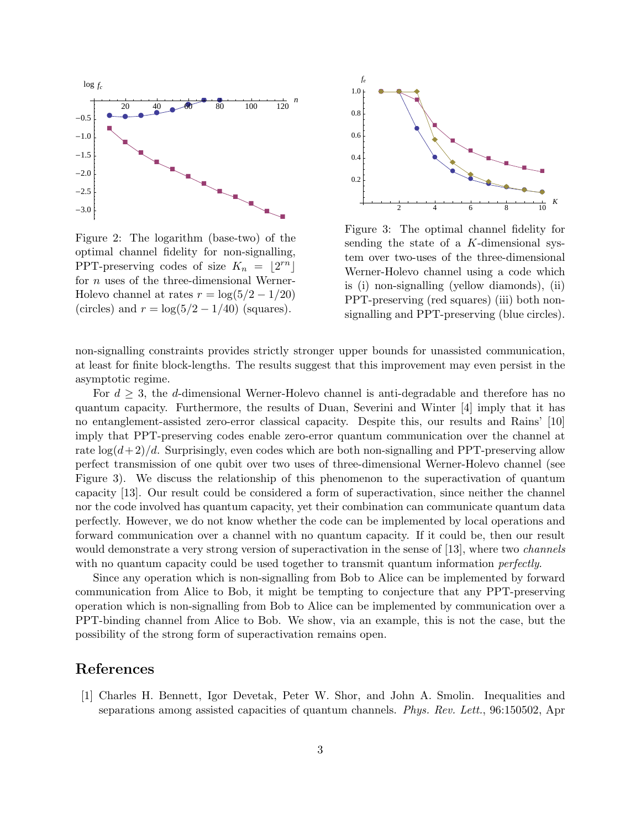

Figure 2: The logarithm (base-two) of the optimal channel fidelity for non-signalling, PPT-preserving codes of size  $K_n = \lfloor 2^{rn} \rfloor$ for *n* uses of the three-dimensional Werner-Holevo channel at rates  $r = \log(5/2 - 1/20)$ (circles) and  $r = \log(5/2 - 1/40)$  (squares).



Figure 3: The optimal channel fidelity for sending the state of a K-dimensional system over two-uses of the three-dimensional Werner-Holevo channel using a code which is (i) non-signalling (yellow diamonds), (ii) PPT-preserving (red squares) (iii) both nonsignalling and PPT-preserving (blue circles).

non-signalling constraints provides strictly stronger upper bounds for unassisted communication, at least for finite block-lengths. The results suggest that this improvement may even persist in the asymptotic regime.

For  $d \geq 3$ , the d-dimensional Werner-Holevo channel is anti-degradable and therefore has no quantum capacity. Furthermore, the results of Duan, Severini and Winter [4] imply that it has no entanglement-assisted zero-error classical capacity. Despite this, our results and Rains' [10] imply that PPT-preserving codes enable zero-error quantum communication over the channel at rate  $\log(d+2)/d$ . Surprisingly, even codes which are both non-signalling and PPT-preserving allow perfect transmission of one qubit over two uses of three-dimensional Werner-Holevo channel (see Figure 3). We discuss the relationship of this phenomenon to the superactivation of quantum capacity [13]. Our result could be considered a form of superactivation, since neither the channel nor the code involved has quantum capacity, yet their combination can communicate quantum data perfectly. However, we do not know whether the code can be implemented by local operations and forward communication over a channel with no quantum capacity. If it could be, then our result would demonstrate a very strong version of superactivation in the sense of [13], where two *channels* with no quantum capacity could be used together to transmit quantum information *perfectly*.

Since any operation which is non-signalling from Bob to Alice can be implemented by forward communication from Alice to Bob, it might be tempting to conjecture that any PPT-preserving operation which is non-signalling from Bob to Alice can be implemented by communication over a PPT-binding channel from Alice to Bob. We show, via an example, this is not the case, but the possibility of the strong form of superactivation remains open.

## References

[1] Charles H. Bennett, Igor Devetak, Peter W. Shor, and John A. Smolin. Inequalities and separations among assisted capacities of quantum channels. *Phys. Rev. Lett.*, 96:150502, Apr